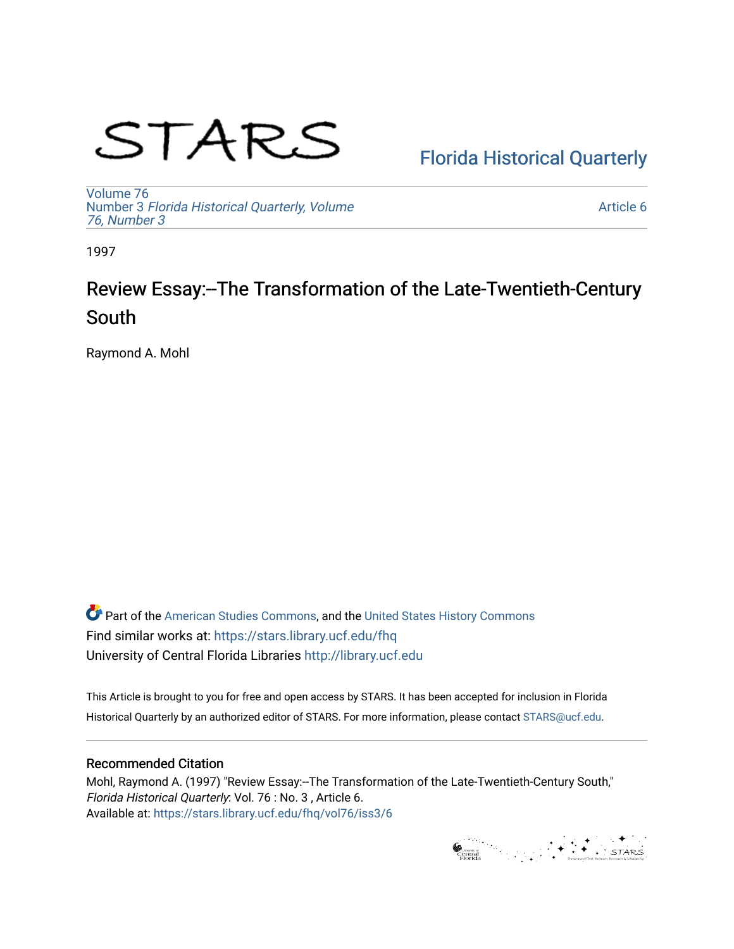# STARS

# [Florida Historical Quarterly](https://stars.library.ucf.edu/fhq)

[Volume 76](https://stars.library.ucf.edu/fhq/vol76) Number 3 [Florida Historical Quarterly, Volume](https://stars.library.ucf.edu/fhq/vol76/iss3)  [76, Number 3](https://stars.library.ucf.edu/fhq/vol76/iss3)

[Article 6](https://stars.library.ucf.edu/fhq/vol76/iss3/6) 

1997

# Review Essay:--The Transformation of the Late-Twentieth-Century South

Raymond A. Mohl

**C** Part of the [American Studies Commons](http://network.bepress.com/hgg/discipline/439?utm_source=stars.library.ucf.edu%2Ffhq%2Fvol76%2Fiss3%2F6&utm_medium=PDF&utm_campaign=PDFCoverPages), and the United States History Commons Find similar works at: <https://stars.library.ucf.edu/fhq> University of Central Florida Libraries [http://library.ucf.edu](http://library.ucf.edu/) 

This Article is brought to you for free and open access by STARS. It has been accepted for inclusion in Florida Historical Quarterly by an authorized editor of STARS. For more information, please contact [STARS@ucf.edu.](mailto:STARS@ucf.edu)

## Recommended Citation

Mohl, Raymond A. (1997) "Review Essay:--The Transformation of the Late-Twentieth-Century South," Florida Historical Quarterly: Vol. 76 : No. 3 , Article 6. Available at: [https://stars.library.ucf.edu/fhq/vol76/iss3/6](https://stars.library.ucf.edu/fhq/vol76/iss3/6?utm_source=stars.library.ucf.edu%2Ffhq%2Fvol76%2Fiss3%2F6&utm_medium=PDF&utm_campaign=PDFCoverPages) 

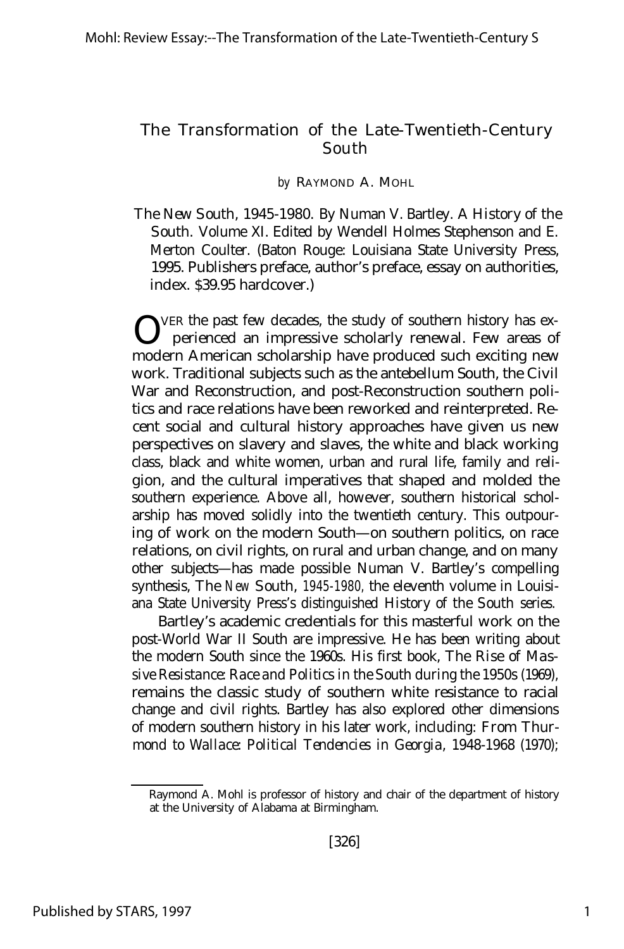### The Transformation of the Late-Twentieth-Century South

#### *by* RAYMOND A. MOHL

*The New South, 1945-1980.* By Numan V. Bartley. *A History of the South.* Volume XI. Edited by Wendell Holmes Stephenson and E. Merton Coulter. (Baton Rouge: Louisiana State University Press, 1995. Publishers preface, author's preface, essay on authorities, index. \$39.95 hardcover.)

VER the past few decades, the study of southern history has experienced an impressive scholarly renewal. Few areas of modern American scholarship have produced such exciting new work. Traditional subjects such as the antebellum South, the Civil War and Reconstruction, and post-Reconstruction southern politics and race relations have been reworked and reinterpreted. Recent social and cultural history approaches have given us new perspectives on slavery and slaves, the white and black working class, black and white women, urban and rural life, family and religion, and the cultural imperatives that shaped and molded the southern experience. Above all, however, southern historical scholarship has moved solidly into the twentieth century. This outpouring of work on the modern South— on southern politics, on race relations, on civil rights, on rural and urban change, and on many other subjects— has made possible Numan V. Bartley's compelling synthesis, *The New South, 1945-1980,* the eleventh volume in Louisiana State University Press's distinguished *History of the South* series.

Bartley's academic credentials for this masterful work on the post-World War II South are impressive. He has been writing about the modern South since the 1960s. His first book, *The Rise of Massive Resistance: Race and Politics in the South during the 1950s* (1969), remains the classic study of southern white resistance to racial change and civil rights. Bartley has also explored other dimensions of modern southern history in his later work, including: *From Thurmond to Wallace: Political Tendencies in Georgia, 1948-1968* (1970);

Raymond A. Mohl is professor of history and chair of the department of history at the University of Alabama at Birmingham.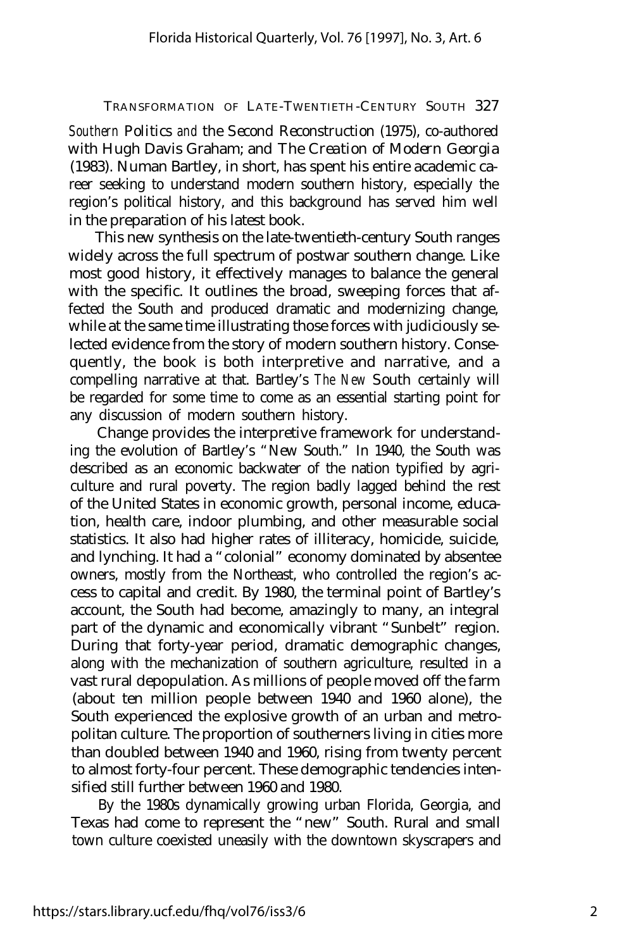*Southern Politics and the Second Reconstruction* (1975), co-authored with Hugh Davis Graham; and *The Creation of Modern Georgia* (1983). Numan Bartley, in short, has spent his entire academic career seeking to understand modern southern history, especially the region's political history, and this background has served him well in the preparation of his latest book.

This new synthesis on the late-twentieth-century South ranges widely across the full spectrum of postwar southern change. Like most good history, it effectively manages to balance the general with the specific. It outlines the broad, sweeping forces that affected the South and produced dramatic and modernizing change, while at the same time illustrating those forces with judiciously selected evidence from the story of modern southern history. Consequently, the book is both interpretive and narrative, and a compelling narrative at that. Bartley's *The New South* certainly will be regarded for some time to come as an essential starting point for any discussion of modern southern history.

Change provides the interpretive framework for understanding the evolution of Bartley's "New South." In 1940, the South was described as an economic backwater of the nation typified by agriculture and rural poverty. The region badly lagged behind the rest of the United States in economic growth, personal income, education, health care, indoor plumbing, and other measurable social statistics. It also had higher rates of illiteracy, homicide, suicide, and lynching. It had a "colonial" economy dominated by absentee owners, mostly from the Northeast, who controlled the region's access to capital and credit. By 1980, the terminal point of Bartley's account, the South had become, amazingly to many, an integral part of the dynamic and economically vibrant "Sunbelt" region. During that forty-year period, dramatic demographic changes, along with the mechanization of southern agriculture, resulted in a vast rural depopulation. As millions of people moved off the farm (about ten million people between 1940 and 1960 alone), the South experienced the explosive growth of an urban and metropolitan culture. The proportion of southerners living in cities more than doubled between 1940 and 1960, rising from twenty percent to almost forty-four percent. These demographic tendencies intensified still further between 1960 and 1980.

By the 1980s dynamically growing urban Florida, Georgia, and Texas had come to represent the "new" South. Rural and small town culture coexisted uneasily with the downtown skyscrapers and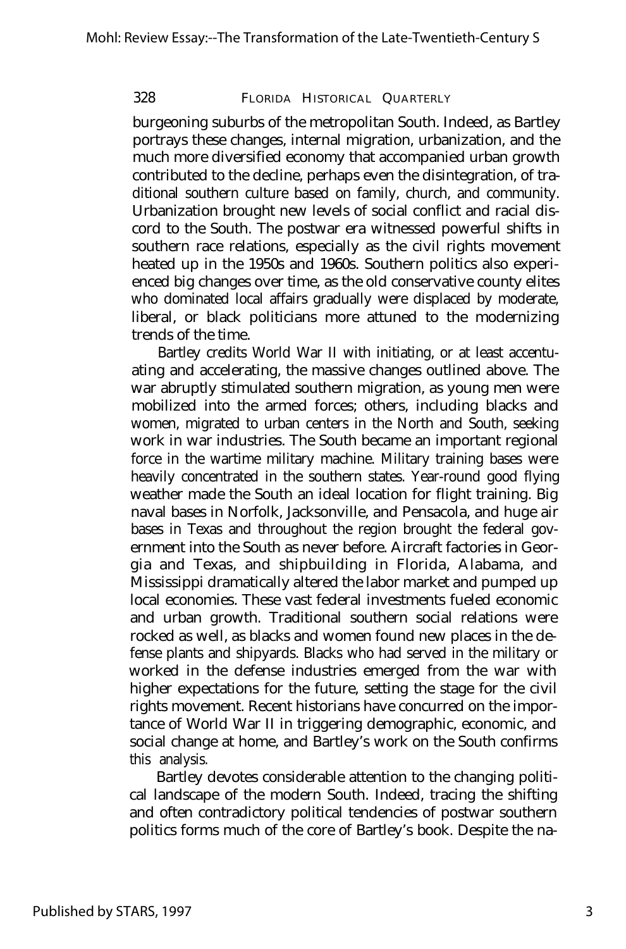burgeoning suburbs of the metropolitan South. Indeed, as Bartley portrays these changes, internal migration, urbanization, and the much more diversified economy that accompanied urban growth contributed to the decline, perhaps even the disintegration, of traditional southern culture based on family, church, and community. Urbanization brought new levels of social conflict and racial discord to the South. The postwar era witnessed powerful shifts in southern race relations, especially as the civil rights movement heated up in the 1950s and 1960s. Southern politics also experienced big changes over time, as the old conservative county elites who dominated local affairs gradually were displaced by moderate, liberal, or black politicians more attuned to the modernizing trends of the time.

Bartley credits World War II with initiating, or at least accentuating and accelerating, the massive changes outlined above. The war abruptly stimulated southern migration, as young men were mobilized into the armed forces; others, including blacks and women, migrated to urban centers in the North and South, seeking work in war industries. The South became an important regional force in the wartime military machine. Military training bases were heavily concentrated in the southern states. Year-round good flying weather made the South an ideal location for flight training. Big naval bases in Norfolk, Jacksonville, and Pensacola, and huge air bases in Texas and throughout the region brought the federal government into the South as never before. Aircraft factories in Georgia and Texas, and shipbuilding in Florida, Alabama, and Mississippi dramatically altered the labor market and pumped up local economies. These vast federal investments fueled economic and urban growth. Traditional southern social relations were rocked as well, as blacks and women found new places in the defense plants and shipyards. Blacks who had served in the military or worked in the defense industries emerged from the war with higher expectations for the future, setting the stage for the civil rights movement. Recent historians have concurred on the importance of World War II in triggering demographic, economic, and social change at home, and Bartley's work on the South confirms this analysis.

Bartley devotes considerable attention to the changing political landscape of the modern South. Indeed, tracing the shifting and often contradictory political tendencies of postwar southern politics forms much of the core of Bartley's book. Despite the na-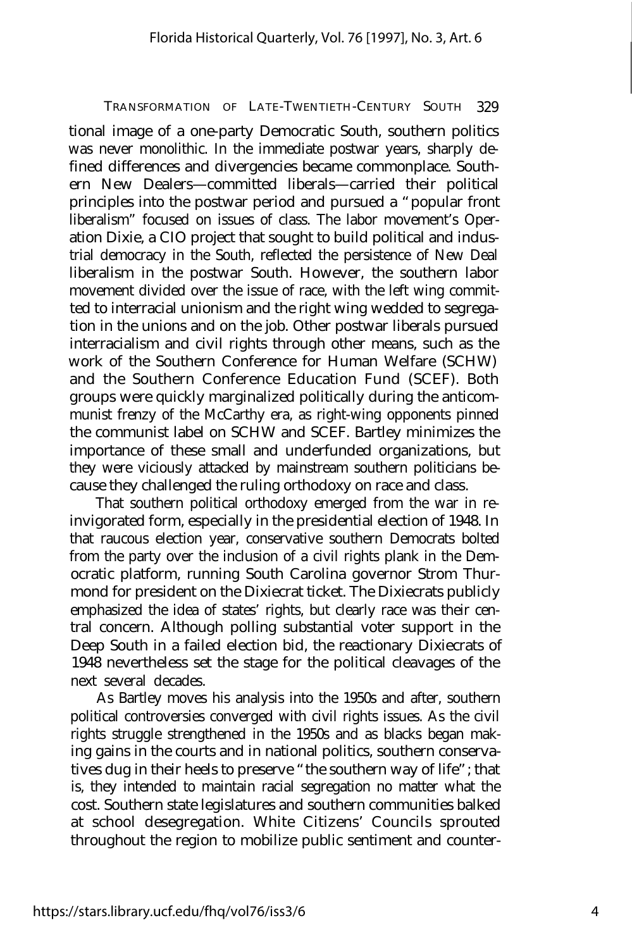tional image of a one-party Democratic South, southern politics was never monolithic. In the immediate postwar years, sharply defined differences and divergencies became commonplace. Southern New Dealers— committed liberals— carried their political principles into the postwar period and pursued a "popular front liberalism" focused on issues of class. The labor movement's Operation Dixie, a CIO project that sought to build political and industrial democracy in the South, reflected the persistence of New Deal liberalism in the postwar South. However, the southern labor movement divided over the issue of race, with the left wing committed to interracial unionism and the right wing wedded to segregation in the unions and on the job. Other postwar liberals pursued interracialism and civil rights through other means, such as the work of the Southern Conference for Human Welfare (SCHW) and the Southern Conference Education Fund (SCEF). Both groups were quickly marginalized politically during the anticommunist frenzy of the McCarthy era, as right-wing opponents pinned the communist label on SCHW and SCEF. Bartley minimizes the importance of these small and underfunded organizations, but they were viciously attacked by mainstream southern politicians because they challenged the ruling orthodoxy on race and class.

That southern political orthodoxy emerged from the war in reinvigorated form, especially in the presidential election of 1948. In that raucous election year, conservative southern Democrats bolted from the party over the inclusion of a civil rights plank in the Democratic platform, running South Carolina governor Strom Thurmond for president on the Dixiecrat ticket. The Dixiecrats publicly emphasized the idea of states' rights, but clearly race was their central concern. Although polling substantial voter support in the Deep South in a failed election bid, the reactionary Dixiecrats of 1948 nevertheless set the stage for the political cleavages of the next several decades.

As Bartley moves his analysis into the 1950s and after, southern political controversies converged with civil rights issues. As the civil rights struggle strengthened in the 1950s and as blacks began making gains in the courts and in national politics, southern conservatives dug in their heels to preserve "the southern way of life"; that is, they intended to maintain racial segregation no matter what the cost. Southern state legislatures and southern communities balked at school desegregation. White Citizens' Councils sprouted throughout the region to mobilize public sentiment and counter-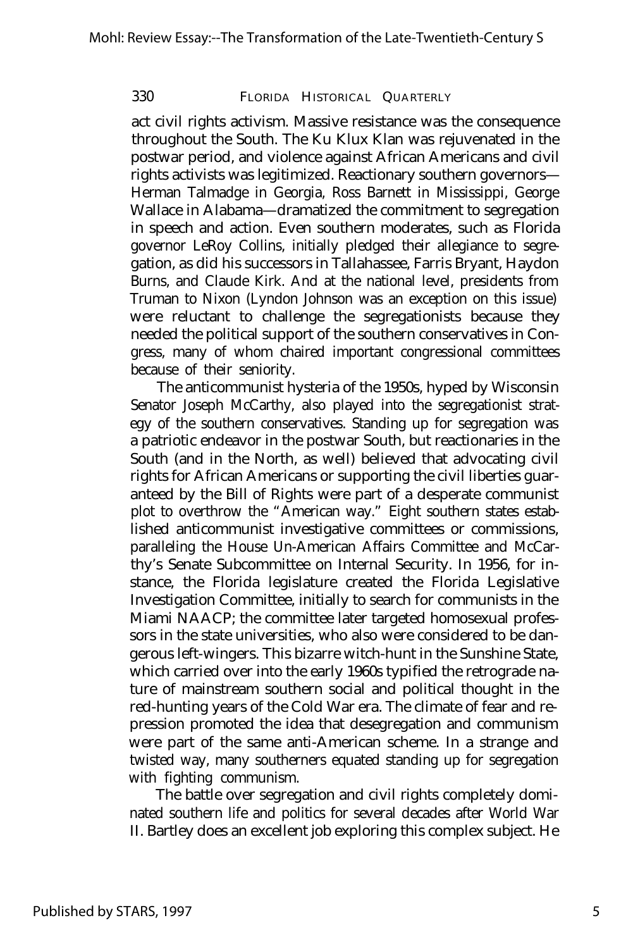act civil rights activism. Massive resistance was the consequence throughout the South. The Ku Klux Klan was rejuvenated in the postwar period, and violence against African Americans and civil rights activists was legitimized. Reactionary southern governors— Herman Talmadge in Georgia, Ross Barnett in Mississippi, George Wallace in Alabama— dramatized the commitment to segregation in speech and action. Even southern moderates, such as Florida governor LeRoy Collins, initially pledged their allegiance to segregation, as did his successors in Tallahassee, Farris Bryant, Haydon Burns, and Claude Kirk. And at the national level, presidents from Truman to Nixon (Lyndon Johnson was an exception on this issue) were reluctant to challenge the segregationists because they needed the political support of the southern conservatives in Congress, many of whom chaired important congressional committees because of their seniority.

The anticommunist hysteria of the 1950s, hyped by Wisconsin Senator Joseph McCarthy, also played into the segregationist strategy of the southern conservatives. Standing up for segregation was a patriotic endeavor in the postwar South, but reactionaries in the South (and in the North, as well) believed that advocating civil rights for African Americans or supporting the civil liberties guaranteed by the Bill of Rights were part of a desperate communist plot to overthrow the "American way." Eight southern states established anticommunist investigative committees or commissions, paralleling the House Un-American Affairs Committee and McCarthy's Senate Subcommittee on Internal Security. In 1956, for instance, the Florida legislature created the Florida Legislative Investigation Committee, initially to search for communists in the Miami NAACP; the committee later targeted homosexual professors in the state universities, who also were considered to be dangerous left-wingers. This bizarre witch-hunt in the Sunshine State, which carried over into the early 1960s typified the retrograde nature of mainstream southern social and political thought in the red-hunting years of the Cold War era. The climate of fear and repression promoted the idea that desegregation and communism were part of the same anti-American scheme. In a strange and twisted way, many southerners equated standing up for segregation with fighting communism.

The battle over segregation and civil rights completely dominated southern life and politics for several decades after World War II. Bartley does an excellent job exploring this complex subject. He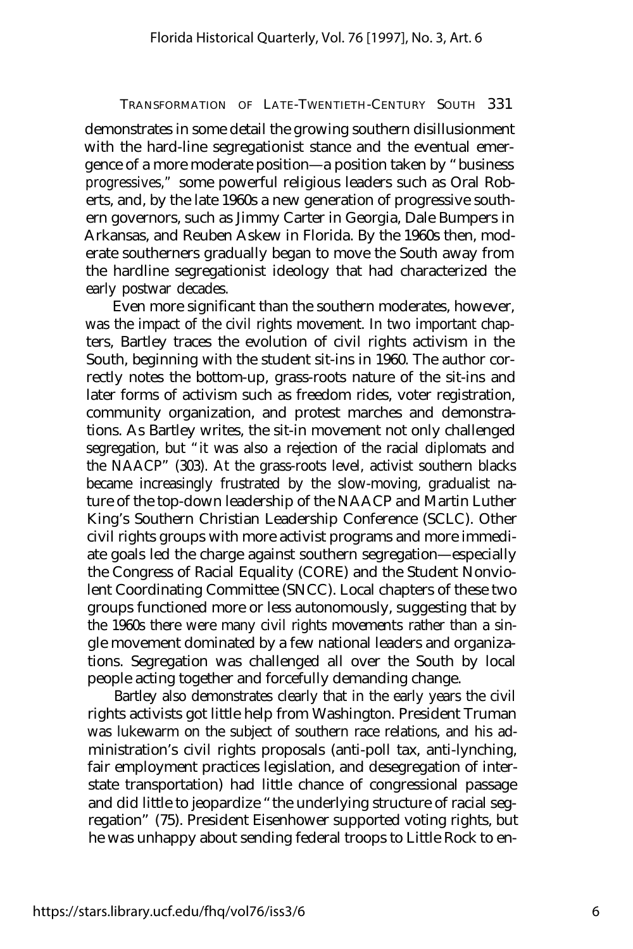demonstrates in some detail the growing southern disillusionment with the hard-line segregationist stance and the eventual emergence of a more moderate position— a position taken by "business progressives," some powerful religious leaders such as Oral Roberts, and, by the late 1960s a new generation of progressive southern governors, such as Jimmy Carter in Georgia, Dale Bumpers in Arkansas, and Reuben Askew in Florida. By the 1960s then, moderate southerners gradually began to move the South away from the hardline segregationist ideology that had characterized the early postwar decades.

Even more significant than the southern moderates, however, was the impact of the civil rights movement. In two important chapters, Bartley traces the evolution of civil rights activism in the South, beginning with the student sit-ins in 1960. The author correctly notes the bottom-up, grass-roots nature of the sit-ins and later forms of activism such as freedom rides, voter registration, community organization, and protest marches and demonstrations. As Bartley writes, the sit-in movement not only challenged segregation, but "it was also a rejection of the racial diplomats and the NAACP" (303). At the grass-roots level, activist southern blacks became increasingly frustrated by the slow-moving, gradualist nature of the top-down leadership of the NAACP and Martin Luther King's Southern Christian Leadership Conference (SCLC). Other civil rights groups with more activist programs and more immediate goals led the charge against southern segregation— especially the Congress of Racial Equality (CORE) and the Student Nonviolent Coordinating Committee (SNCC). Local chapters of these two groups functioned more or less autonomously, suggesting that by the 1960s there were many civil rights *movements* rather than a single movement dominated by a few national leaders and organizations. Segregation was challenged all over the South by local people acting together and forcefully demanding change.

Bartley also demonstrates clearly that in the early years the civil rights activists got little help from Washington. President Truman was lukewarm on the subject of southern race relations, and his administration's civil rights proposals (anti-poll tax, anti-lynching, fair employment practices legislation, and desegregation of interstate transportation) had little chance of congressional passage and did little to jeopardize "the underlying structure of racial segregation" (75). President Eisenhower supported voting rights, but he was unhappy about sending federal troops to Little Rock to en-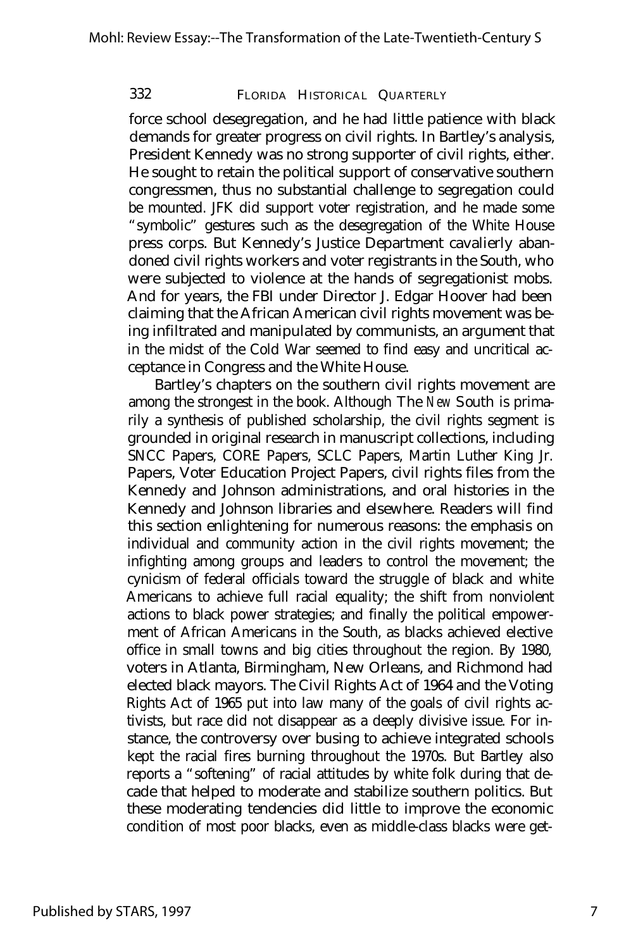force school desegregation, and he had little patience with black demands for greater progress on civil rights. In Bartley's analysis, President Kennedy was no strong supporter of civil rights, either. He sought to retain the political support of conservative southern congressmen, thus no substantial challenge to segregation could be mounted. JFK did support voter registration, and he made some "symbolic" gestures such as the desegregation of the White House press corps. But Kennedy's Justice Department cavalierly abandoned civil rights workers and voter registrants in the South, who were subjected to violence at the hands of segregationist mobs. And for years, the FBI under Director J. Edgar Hoover had been claiming that the African American civil rights movement was being infiltrated and manipulated by communists, an argument that in the midst of the Cold War seemed to find easy and uncritical acceptance in Congress and the White House.

Bartley's chapters on the southern civil rights movement are among the strongest in the book. Although *The New South* is primarily a synthesis of published scholarship, the civil rights segment is grounded in original research in manuscript collections, including SNCC Papers, CORE Papers, SCLC Papers, Martin Luther King Jr. Papers, Voter Education Project Papers, civil rights files from the Kennedy and Johnson administrations, and oral histories in the Kennedy and Johnson libraries and elsewhere. Readers will find this section enlightening for numerous reasons: the emphasis on individual and community action in the civil rights movement; the infighting among groups and leaders to control the movement; the cynicism of federal officials toward the struggle of black and white Americans to achieve full racial equality; the shift from nonviolent actions to black power strategies; and finally the political empowerment of African Americans in the South, as blacks achieved elective office in small towns and big cities throughout the region. By 1980, voters in Atlanta, Birmingham, New Orleans, and Richmond had elected black mayors. The Civil Rights Act of 1964 and the Voting Rights Act of 1965 put into law many of the goals of civil rights activists, but race did not disappear as a deeply divisive issue. For instance, the controversy over busing to achieve integrated schools kept the racial fires burning throughout the 1970s. But Bartley also reports a "softening" of racial attitudes by white folk during that decade that helped to moderate and stabilize southern politics. But these moderating tendencies did little to improve the economic condition of most poor blacks, even as middle-class blacks were get-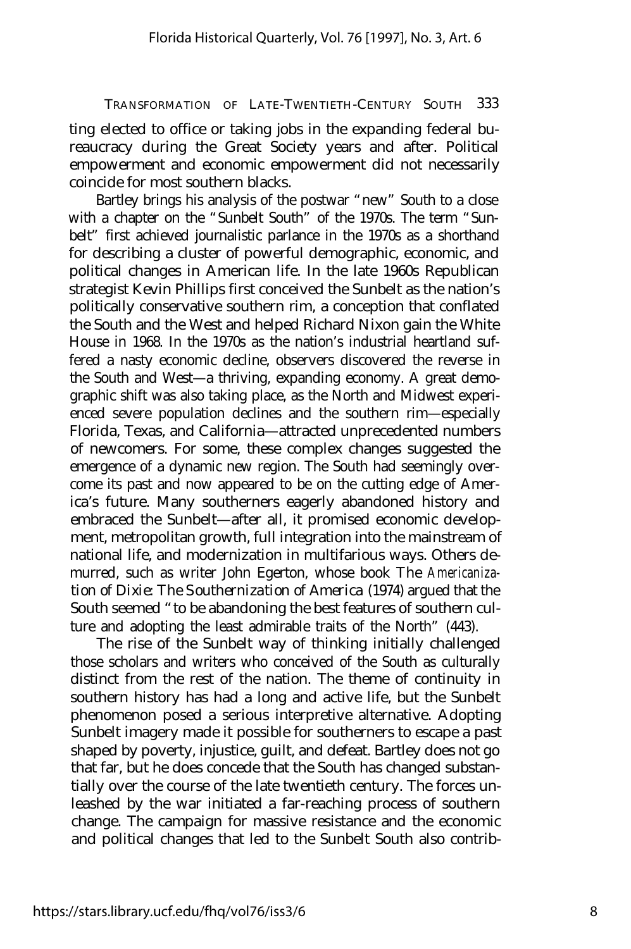ting elected to office or taking jobs in the expanding federal bureaucracy during the Great Society years and after. Political empowerment and economic empowerment did not necessarily coincide for most southern blacks.

Bartley brings his analysis of the postwar "new" South to a close with a chapter on the "Sunbelt South" of the 1970s. The term "Sunbelt" first achieved journalistic parlance in the 1970s as a shorthand for describing a cluster of powerful demographic, economic, and political changes in American life. In the late 1960s Republican strategist Kevin Phillips first conceived the Sunbelt as the nation's politically conservative southern rim, a conception that conflated the South and the West and helped Richard Nixon gain the White House in 1968. In the 1970s as the nation's industrial heartland suffered a nasty economic decline, observers discovered the reverse in the South and West— a thriving, expanding economy. A great demographic shift was also taking place, as the North and Midwest experienced severe population declines and the southern rim— especially Florida, Texas, and California— attracted unprecedented numbers of newcomers. For some, these complex changes suggested the emergence of a dynamic new region. The South had seemingly overcome its past and now appeared to be on the cutting edge of America's future. Many southerners eagerly abandoned history and embraced the Sunbelt— after all, it promised economic development, metropolitan growth, full integration into the mainstream of national life, and modernization in multifarious ways. Others demurred, such as writer John Egerton, whose book *The Americanization of Dixie: The Southernization of America* (1974) argued that the South seemed "to be abandoning the best features of southern culture and adopting the least admirable traits of the North" (443).

The rise of the Sunbelt way of thinking initially challenged those scholars and writers who conceived of the South as culturally distinct from the rest of the nation. The theme of continuity in southern history has had a long and active life, but the Sunbelt phenomenon posed a serious interpretive alternative. Adopting Sunbelt imagery made it possible for southerners to escape a past shaped by poverty, injustice, guilt, and defeat. Bartley does not go that far, but he does concede that the South has changed substantially over the course of the late twentieth century. The forces unleashed by the war initiated a far-reaching process of southern change. The campaign for massive resistance and the economic and political changes that led to the Sunbelt South also contrib-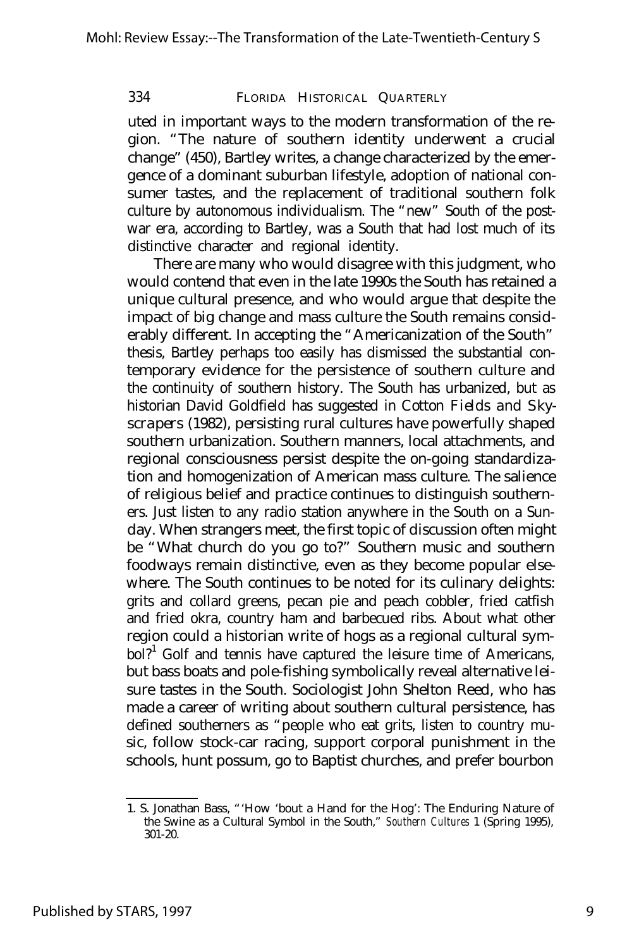uted in important ways to the modern transformation of the region. "The nature of southern identity underwent a crucial change" (450), Bartley writes, a change characterized by the emergence of a dominant suburban lifestyle, adoption of national consumer tastes, and the replacement of traditional southern folk culture by autonomous individualism. The "new" South of the postwar era, according to Bartley, was a South that had lost much of its distinctive character and regional identity.

There are many who would disagree with this judgment, who would contend that even in the late 1990s the South has retained a unique cultural presence, and who would argue that despite the impact of big change and mass culture the South remains considerably different. In accepting the "Americanization of the South" thesis, Bartley perhaps too easily has dismissed the substantial contemporary evidence for the persistence of southern culture and the continuity of southern history. The South has urbanized, but as historian David Goldfield has suggested in *Cotton Fields and Skyscrapers* (1982), persisting rural cultures have powerfully shaped southern urbanization. Southern manners, local attachments, and regional consciousness persist despite the on-going standardization and homogenization of American mass culture. The salience of religious belief and practice continues to distinguish southerners. Just listen to any radio station anywhere in the South on a Sunday. When strangers meet, the first topic of discussion often might be "What church do you go to?" Southern music and southern foodways remain distinctive, even as they become popular elsewhere. The South continues to be noted for its culinary delights: grits and collard greens, pecan pie and peach cobbler, fried catfish and fried okra, country ham and barbecued ribs. About what other region could a historian write of hogs as a regional cultural symbol?<sup>1</sup> Golf and tennis have captured the leisure time of Americans, but bass boats and pole-fishing symbolically reveal alternative leisure tastes in the South. Sociologist John Shelton Reed, who has made a career of writing about southern cultural persistence, has defined southerners as "people who eat grits, listen to country music, follow stock-car racing, support corporal punishment in the schools, hunt possum, go to Baptist churches, and prefer bourbon

<sup>1.</sup> S. Jonathan Bass, "'How 'bout a Hand for the Hog': The Enduring Nature of the Swine as a Cultural Symbol in the South," *Southern Cultures* 1 (Spring 1995), 301-20.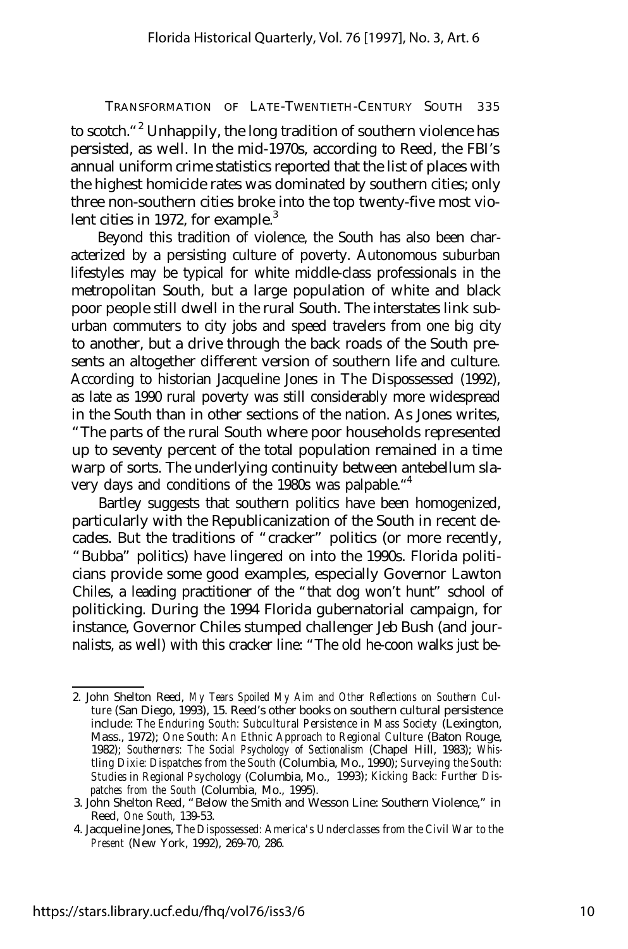to scotch."<sup>2</sup> Unhappily, the long tradition of southern violence has persisted, as well. In the mid-1970s, according to Reed, the FBI's annual uniform crime statistics reported that the list of places with the highest homicide rates was dominated by southern cities; only three non-southern cities broke into the top twenty-five most violent cities in 1972, for example. $3$ 

Beyond this tradition of violence, the South has also been characterized by a persisting culture of poverty. Autonomous suburban lifestyles may be typical for white middle-class professionals in the metropolitan South, but a large population of white and black poor people still dwell in the rural South. The interstates link suburban commuters to city jobs and speed travelers from one big city to another, but a drive through the back roads of the South presents an altogether different version of southern life and culture. According to historian Jacqueline Jones in *The Dispossessed* (1992), as late as 1990 rural poverty was still considerably more widespread in the South than in other sections of the nation. As Jones writes, "The parts of the rural South where poor households represented up to seventy percent of the total population remained in a time warp of sorts. The underlying continuity between antebellum slavery days and conditions of the 1980s was palpable." 4

Bartley suggests that southern politics have been homogenized, particularly with the Republicanization of the South in recent decades. But the traditions of "cracker" politics (or more recently, "Bubba" politics) have lingered on into the 1990s. Florida politicians provide some good examples, especially Governor Lawton Chiles, a leading practitioner of the "that dog won't hunt" school of politicking. During the 1994 Florida gubernatorial campaign, for instance, Governor Chiles stumped challenger Jeb Bush (and journalists, as well) with this cracker line: "The old he-coon walks just be-

<sup>2.</sup> John Shelton Reed, *My Tears Spoiled My Aim and Other Reflections on Southern Culture* (San Diego, 1993), 15. Reed's other books on southern cultural persistence include: *The Enduring South: Subcultural Persistence in Mass Society* (Lexington, Mass., 1972); *One South: An Ethnic Approach to Regional Culture* (Baton Rouge, 1982); *Southerners: The Social Psychology of Sectionalism* (Chapel Hill, 1983); *Whistling Dixie: Dispatches from the South* (Columbia, Mo., 1990); *Surveying the South: Studies in Regional Psychology* (Columbia, Mo., 1993); *Kicking Back: Further Dispatches from the South* (Columbia, Mo., 1995).

<sup>3.</sup> John Shelton Reed, "Below the Smith and Wesson Line: Southern Violence," in Reed, *One South,* 139-53.

<sup>4.</sup> Jacqueline Jones, *The Dispossessed: America's Underclasses from the Civil War to the Present* (New York, 1992), 269-70, 286.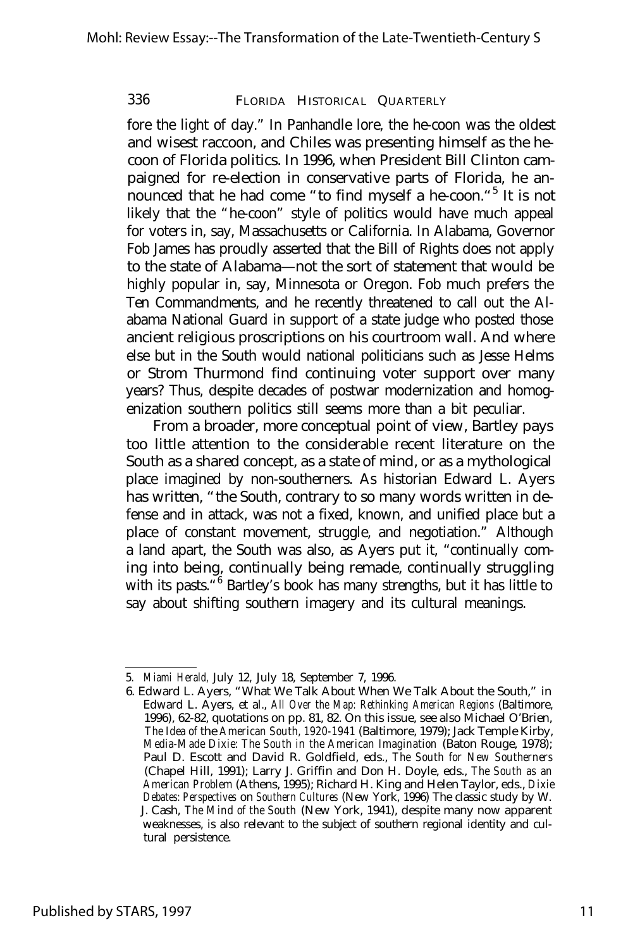fore the light of day." In Panhandle lore, the he-coon was the oldest and wisest raccoon, and Chiles was presenting himself as the hecoon of Florida politics. In 1996, when President Bill Clinton campaigned for re-election in conservative parts of Florida, he announced that he had come "to find myself a he-coon."<sup>5</sup> It is not likely that the "he-coon" style of politics would have much appeal for voters in, say, Massachusetts or California. In Alabama, Governor Fob James has proudly asserted that the Bill of Rights does not apply to the state of Alabama— not the sort of statement that would be highly popular in, say, Minnesota or Oregon. Fob much prefers the Ten Commandments, and he recently threatened to call out the Alabama National Guard in support of a state judge who posted those ancient religious proscriptions on his courtroom wall. And where else but in the South would national politicians such as Jesse Helms or Strom Thurmond find continuing voter support over many years? Thus, despite decades of postwar modernization and homogenization southern politics still seems more than a bit peculiar.

From a broader, more conceptual point of view, Bartley pays too little attention to the considerable recent literature on the South as a shared concept, as a state of mind, or as a mythological place imagined by non-southerners. As historian Edward L. Ayers has written, "the South, contrary to so many words written in defense and in attack, was not a fixed, known, and unified place but a place of constant movement, struggle, and negotiation." Although a land apart, the South was also, as Ayers put it, "continually coming into being, continually being remade, continually struggling with its pasts.<sup>"6</sup> Bartley's book has many strengths, but it has little to say about shifting southern imagery and its cultural meanings.

<sup>5.</sup> *Miami Herald,* July 12, July 18, September 7, 1996.

<sup>6.</sup> Edward L. Ayers, "What We Talk About When We Talk About the South," in Edward L. Ayers, et al., *All Over the Map: Rethinking American Regions* (Baltimore, 1996), 62-82, quotations on pp. 81, 82. On this issue, see also Michael O'Brien, *The Idea of* the *American South, 1920-1941* (Baltimore, 1979); Jack Temple Kirby, *Media-Made Dixie: The South in the American Imagination* (Baton Rouge, 1978); Paul D. Escott and David R. Goldfield, eds., *The South for New Southerners* (Chapel Hill, 1991); Larry J. Griffin and Don H. Doyle, eds., *The South as an American Problem* (Athens, 1995); Richard H. King and Helen Taylor, eds., *Dixie Debates: Perspectives* on *Southern Cultures* (New York, 1996) The classic study by W. J. Cash, *The Mind of the South* (New York, 1941), despite many now apparent weaknesses, is also relevant to the subject of southern regional identity and cultural persistence.